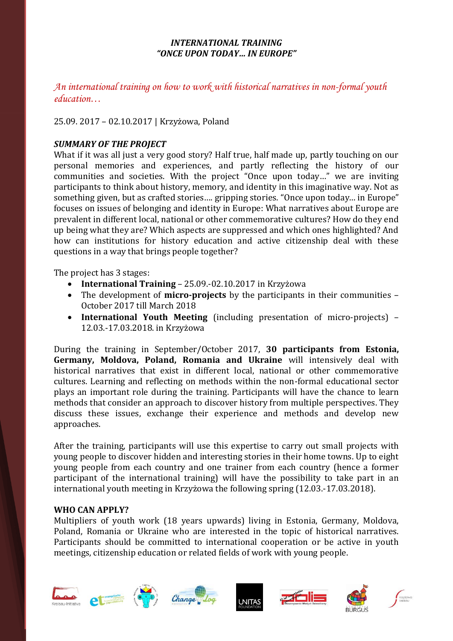### *INTERNATIONAL TRAINING "ONCE UPON TODAY… IN EUROPE"*

*An international training on how to work with historical narratives in non-formal youth education…*

## 25.09. 2017 – 02.10.2017 | Krzyżowa, Poland

# *SUMMARY OF THE PROJECT*

What if it was all just a very good story? Half true, half made up, partly touching on our personal memories and experiences, and partly reflecting the history of our communities and societies. With the project "Once upon today…" we are inviting participants to think about history, memory, and identity in this imaginative way. Not as something given, but as crafted stories…. gripping stories. "Once upon today... in Europe" focuses on issues of belonging and identity in Europe: What narratives about Europe are prevalent in different local, national or other commemorative cultures? How do they end up being what they are? Which aspects are suppressed and which ones highlighted? And how can institutions for history education and active citizenship deal with these questions in a way that brings people together?

The project has 3 stages:

- **International Training** 25.09.-02.10.2017 in Krzyżowa
- The development of **micro-projects** by the participants in their communities October 2017 till March 2018
- **International Youth Meeting** (including presentation of micro-projects) 12.03.-17.03.2018. in Krzyżowa

During the training in September/October 2017, **30 participants from Estonia, Germany, Moldova, Poland, Romania and Ukraine** will intensively deal with historical narratives that exist in different local, national or other commemorative cultures. Learning and reflecting on methods within the non-formal educational sector plays an important role during the training. Participants will have the chance to learn methods that consider an approach to discover history from multiple perspectives. They discuss these issues, exchange their experience and methods and develop new approaches.

After the training, participants will use this expertise to carry out small projects with young people to discover hidden and interesting stories in their home towns. Up to eight young people from each country and one trainer from each country (hence a former participant of the international training) will have the possibility to take part in an international youth meeting in Krzyżowa the following spring (12.03.-17.03.2018).

### **WHO CAN APPLY?**

Multipliers of youth work (18 years upwards) living in Estonia, Germany, Moldova, Poland, Romania or Ukraine who are interested in the topic of historical narratives. Participants should be committed to international cooperation or be active in youth meetings, citizenship education or related fields of work with young people.













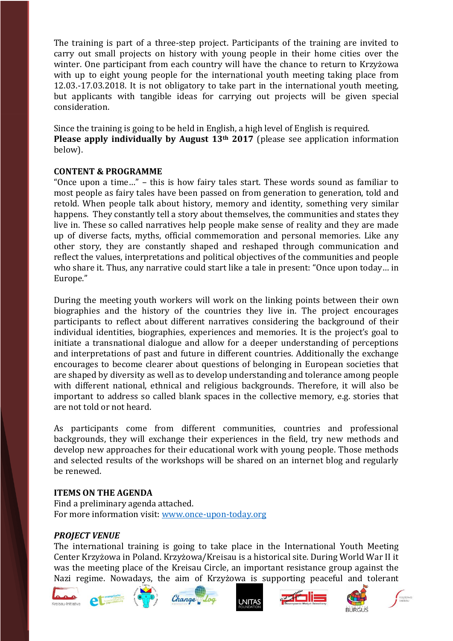The training is part of a three-step project. Participants of the training are invited to carry out small projects on history with young people in their home cities over the winter. One participant from each country will have the chance to return to Krzyżowa with up to eight young people for the international youth meeting taking place from 12.03.-17.03.2018. It is not obligatory to take part in the international youth meeting, but applicants with tangible ideas for carrying out projects will be given special consideration.

Since the training is going to be held in English, a high level of English is required. **Please apply individually by August 13th 2017** (please see application information below).

### **CONTENT & PROGRAMME**

"Once upon a time…" – this is how fairy tales start. These words sound as familiar to most people as fairy tales have been passed on from generation to generation, told and retold. When people talk about history, memory and identity, something very similar happens. They constantly tell a story about themselves, the communities and states they live in. These so called narratives help people make sense of reality and they are made up of diverse facts, myths, official commemoration and personal memories. Like any other story, they are constantly shaped and reshaped through communication and reflect the values, interpretations and political objectives of the communities and people who share it. Thus, any narrative could start like a tale in present: "Once upon today… in Europe."

During the meeting youth workers will work on the linking points between their own biographies and the history of the countries they live in. The project encourages participants to reflect about different narratives considering the background of their individual identities, biographies, experiences and memories. It is the project's goal to initiate a transnational dialogue and allow for a deeper understanding of perceptions and interpretations of past and future in different countries. Additionally the exchange encourages to become clearer about questions of belonging in European societies that are shaped by diversity as well as to develop understanding and tolerance among people with different national, ethnical and religious backgrounds. Therefore, it will also be important to address so called blank spaces in the collective memory, e.g. stories that are not told or not heard.

As participants come from different communities, countries and professional backgrounds, they will exchange their experiences in the field, try new methods and develop new approaches for their educational work with young people. Those methods and selected results of the workshops will be shared on an internet blog and regularly be renewed.

### **ITEMS ON THE AGENDA**

Find a preliminary agenda attached. For more information visit: [www.once-upon-today.org](file:///C:/Users/Kreisau-Initiative-2/AppData/Local/Temp/www.once-upon-today.org)

### *PROJECT VENUE*

The international training is going to take place in the International Youth Meeting Center Krzyżowa in Poland. Krzyżowa/Kreisau is a historical site. During World War II it was the meeting place of the Kreisau Circle, an important resistance group against the Nazi regime. Nowadays, the aim of Krzyżowa is supporting peaceful and tolerant